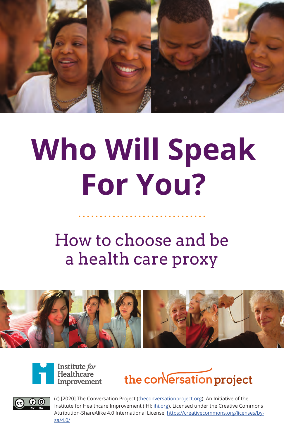

# **Who Will Speak For You?**

How to choose and be a health care proxy









(c) [2020] The Conversation Project (theconversationproject.org): An Initiative of the Institute for Healthcare Improvement (IHI; ihi.org). Licensed under the Creative Commons Attribution-ShareAlike 4.0 International License, https://creativecommons.org/licenses/bysa/4.0/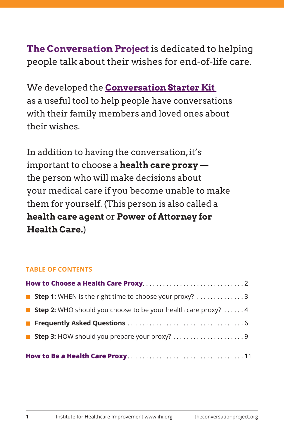# **The Conversation Project** is dedicated to helping people talk about their wishes for end-of-life care.

We developed the **Conversation Starter Kit** as a useful tool to help people have conversations with their family members and loved ones about their wishes.

In addition to having the conversation, it's important to choose a **health care proxy** the person who will make decisions about your medical care if you become unable to make them for yourself. (This person is also called a **health care agent** or **Power of Attorney for Health Care.**)

#### **TABLE OF CONTENTS**

| ■ Step 1: WHEN is the right time to choose your proxy? 3                     |
|------------------------------------------------------------------------------|
| <b>Step 2:</b> WHO should you choose to be your health care proxy? $\dots$ . |
|                                                                              |
|                                                                              |
|                                                                              |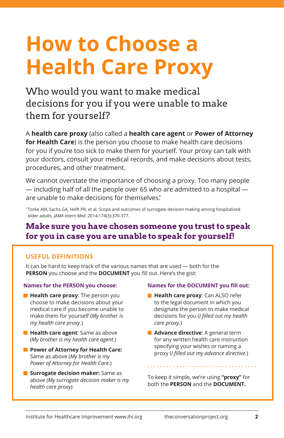# **How to Choose a Health Care Proxy**

Who would you want to make medical decisions for you if you were unable to make them for yourself?

A **health care proxy** (also called a **health care agent** or **Power of Attorney for Health Care**) is the person you choose to make health care decisions for you if you're too sick to make them for yourself. Your proxy can talk with your doctors, consult your medical records, and make decisions about tests, procedures, and other treatment.

We cannot overstate the importance of choosing a proxy. Too many people — including half of all the people over 65 who are admitted to a hospital are unable to make decisions for themselves.<sup>\*</sup>

\* Torke AM, Sachs GA, Helft PR, et al. Scope and outcomes of surrogate decision making among hospitalized older adults. *JAMA Intern Med*. 2014;174(3):370-377.

### **Make sure you have chosen someone you trust to speak for you in case you are unable to speak for yourself!**

#### **USEFUL DEFINITIONS**

It can be hard to keep track of the various names that are used — both for the **PERSON** you choose and the **DOCUMENT** you fill out. Here's the gist:

#### **Names for the PERSON you choose:**

- **Health care proxy:** The person you choose to make decisions about your medical care if you become unable to make them for yourself (*My brother is my health care proxy.*)
- **Health care agent:** Same as above (*My brother is my health care agent.*)
- **Power of Attorney for Health Care:** Same as above (*My brother is my Power of Attorney for Health Care.*)
- **Surrogate decision maker:** Same as above *(My surrogate decision maker is my health care proxy).*

#### **Names for the DOCUMENT you fill out:**

- **Health care proxy:** Can ALSO refer to the legal document in which you designate the person to make medical decisions for you (*I filled out my health care proxy.*)
- **Advance directive**: A general term for any written health care instruction specifying your wishes or naming a proxy (*I filled out my advance directive.*)

To keep it simple, we're using **"proxy"** for both the **PERSON** and the **DOCUMENT.**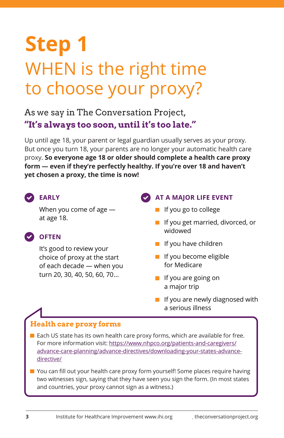# **Step 1** WHEN is the right time to choose your proxy?

As we say in The Conversation Project, **"It's always too soon, until it's too late."**

Up until age 18, your parent or legal guardian usually serves as your proxy. But once you turn 18, your parents are no longer your automatic health care proxy. **So everyone age 18 or older should complete a health care proxy form — even if they're perfectly healthy. If you're over 18 and haven't yet chosen a proxy, the time is now!**

**EARLY**

When you come of age at age 18.

### **OFTEN**

It's good to review your choice of proxy at the start of each decade — when you turn 20, 30, 40, 50, 60, 70…

### **AT A MAJOR LIFE EVENT**

- I If you go to college
- **I** If you get married, divorced, or widowed
- $\blacksquare$  If you have children
- $\blacksquare$  If you become eligible for Medicare
- $\blacksquare$  If you are going on a major trip
- $\blacksquare$  If you are newly diagnosed with a serious illness

## **Health care proxy forms**

- $\blacksquare$  Each US state has its own health care proxy forms, which are available for free. For more information visit: https://www.nhpco.org/patients-and-caregivers/ advance-care-planning/advance-directives/downloading-your-states-advancedirective/
- You can fill out your health care proxy form yourself! Some places require having two witnesses sign, saying that they have seen you sign the form. (In most states and countries, your proxy cannot sign as a witness.)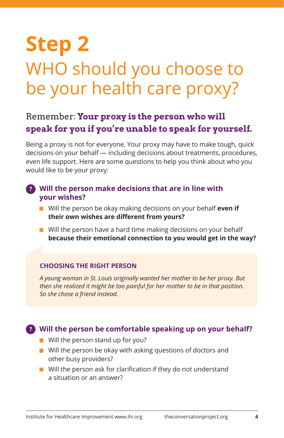# **Step 2** WHO should you choose to be your health care proxy?

# Remember: **Your proxy is the person who will speak for you if you're unable to speak for yourself.**

Being a proxy is not for everyone. Your proxy may have to make tough, quick decisions on your behalf — including decisions about treatments, procedures, even life support. Here are some questions to help you think about who you would like to be your proxy:

#### **? Will the person make decisions that are in line with your wishes?**

- Will the person be okay making decisions on your behalf **even if their own wishes are different from yours?**
- $\blacksquare$  Will the person have a hard time making decisions on your behalf **because their emotional connection to you would get in the way?**

#### **CHOOSING THE RIGHT PERSON**

*A young woman in St. Louis originally wanted her mother to be her proxy. But then she realized it might be too painful for her mother to be in that position. So she chose a friend instead.*

### **Will the person be comfortable speaking up on your behalf? ?**

- $\blacksquare$  Will the person stand up for you?
- $\blacksquare$  Will the person be okay with asking questions of doctors and other busy providers?
- $\blacksquare$  Will the person ask for clarification if they do not understand a situation or an answer?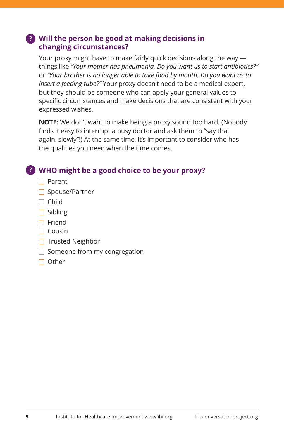#### **? Will the person be good at making decisions in changing circumstances?**

Your proxy might have to make fairly quick decisions along the way things like *"Your mother has pneumonia. Do you want us to start antibiotics?"* or *"Your brother is no longer able to take food by mouth. Do you want us to insert a feeding tube?"* Your proxy doesn't need to be a medical expert, but they should be someone who can apply your general values to specific circumstances and make decisions that are consistent with your expressed wishes.

**NOTE:** We don't want to make being a proxy sound too hard. (Nobody finds it easy to interrupt a busy doctor and ask them to "say that again, slowly"!) At the same time, it's important to consider who has the qualities you need when the time comes.

### **WHO might be a good choice to be your proxy? ?**

- $\Box$  Parent
- $\Box$  Spouse/Partner
- $\Box$  Child
- $\Box$  Sibling
- $\Box$  Friend
- $\Box$  Cousin
- $\Box$  Trusted Neighbor
- $\Box$  Someone from my congregation
- $\Box$  Other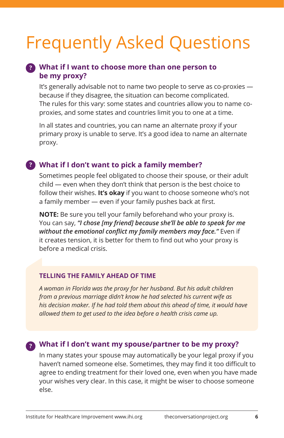# Frequently Asked Questions

#### **What if I want to choose more than one person to ? be my proxy?**

It's generally advisable not to name two people to serve as co-proxies because if they disagree, the situation can become complicated. The rules for this vary: some states and countries allow you to name coproxies, and some states and countries limit you to one at a time.

In all states and countries, you can name an alternate proxy if your primary proxy is unable to serve. It's a good idea to name an alternate proxy.

#### **What if I don't want to pick a family member? ?**

Sometimes people feel obligated to choose their spouse, or their adult child — even when they don't think that person is the best choice to follow their wishes. **It's okay** if you want to choose someone who's not a family member — even if your family pushes back at first.

**NOTE:** Be sure you tell your family beforehand who your proxy is. You can say, *"I chose [my friend] because she'll be able to speak for me without the emotional conflict my family members may face."* Even if it creates tension, it is better for them to find out who your proxy is before a medical crisis.

#### **TELLING THE FAMILY AHEAD OF TIME**

*A woman in Florida was the proxy for her husband. But his adult children from a previous marriage didn't know he had selected his current wife as his decision maker. If he had told them about this ahead of time, it would have allowed them to get used to the idea before a health crisis came up.*

### **What if I don't want my spouse/partner to be my proxy? ?**

In many states your spouse may automatically be your legal proxy if you haven't named someone else. Sometimes, they may find it too difficult to agree to ending treatment for their loved one, even when you have made your wishes very clear. In this case, it might be wiser to choose someone else.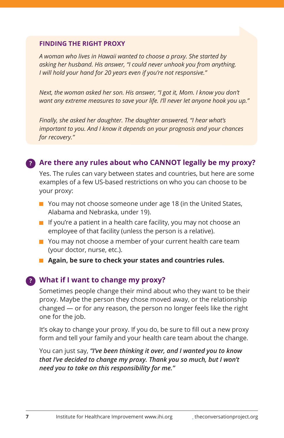#### **FINDING THE RIGHT PROXY**

*A woman who lives in Hawaii wanted to choose a proxy. She started by asking her husband. His answer, "I could never unhook you from anything. I will hold your hand for 20 years even if you're not responsive."* 

*Next, the woman asked her son. His answer, "I got it, Mom. I know you don't want any extreme measures to save your life. I'll never let anyone hook you up."* 

*Finally, she asked her daughter. The daughter answered, "I hear what's important to you. And I know it depends on your prognosis and your chances for recovery."* 

#### **Are there any rules about who CANNOT legally be my proxy? ?**

Yes. The rules can vary between states and countries, but here are some examples of a few US-based restrictions on who you can choose to be your proxy:

- You may not choose someone under age 18 (in the United States, Alabama and Nebraska, under 19).
- $\blacksquare$  If you're a patient in a health care facility, you may not choose an employee of that facility (unless the person is a relative).
- You may not choose a member of your current health care team (your doctor, nurse, etc.).
- **Again, be sure to check your states and countries rules.**

#### **What if I want to change my proxy? ?**

Sometimes people change their mind about who they want to be their proxy. Maybe the person they chose moved away, or the relationship changed — or for any reason, the person no longer feels like the right one for the job.

It's okay to change your proxy. If you do, be sure to fill out a new proxy form and tell your family and your health care team about the change.

You can just say, *"I've been thinking it over, and I wanted you to know that I've decided to change my proxy. Thank you so much, but I won't need you to take on this responsibility for me."*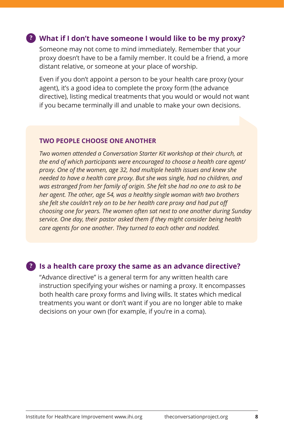#### **What if I don't have someone I would like to be my proxy? ?**

Someone may not come to mind immediately. Remember that your proxy doesn't have to be a family member. It could be a friend, a more distant relative, or someone at your place of worship.

Even if you don't appoint a person to be your health care proxy (your agent), it's a good idea to complete the proxy form (the advance directive), listing medical treatments that you would or would not want if you became terminally ill and unable to make your own decisions.

#### **TWO PEOPLE CHOOSE ONE ANOTHER**

*Two women attended a Conversation Starter Kit workshop at their church, at the end of which participants were encouraged to choose a health care agent/ proxy. One of the women, age 32, had multiple health issues and knew she needed to have a health care proxy. But she was single, had no children, and was estranged from her family of origin. She felt she had no one to ask to be her agent. The other, age 54, was a healthy single woman with two brothers she felt she couldn't rely on to be her health care proxy and had put off choosing one for years. The women often sat next to one another during Sunday service. One day, their pastor asked them if they might consider being health care agents for one another. They turned to each other and nodded.*

#### **Is a health care proxy the same as an advance directive? ?**

"Advance directive" is a general term for any written health care instruction specifying your wishes or naming a proxy. It encompasses both health care proxy forms and living wills. It states which medical treatments you want or don't want if you are no longer able to make decisions on your own (for example, if you're in a coma).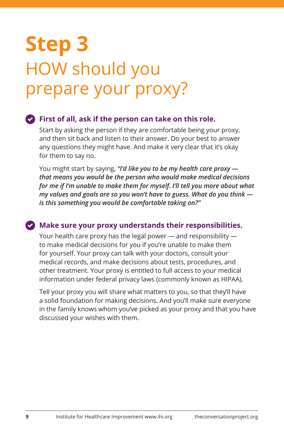# **Step 3**  HOW should you prepare your proxy?

#### **First of all, ask if the person can take on this role.**

Start by asking the person if they are comfortable being your proxy, and then sit back and listen to their answer. Do your best to answer any questions they might have. And make it very clear that it's okay for them to say no.

You might start by saying, *"I'd like you to be my health care proxy that means you would be the person who would make medical decisions for me if I'm unable to make them for myself. I'll tell you more about what my values and goals are so you won't have to guess. What do you think is this something you would be comfortable taking on?"*

#### **Make sure your proxy understands their responsibilities.**

Your health care proxy has the legal power — and responsibility to make medical decisions for you if you're unable to make them for yourself. Your proxy can talk with your doctors, consult your medical records, and make decisions about tests, procedures, and other treatment. Your proxy is entitled to full access to your medical information under federal privacy laws (commonly known as HIPAA).

Tell your proxy you will share what matters to you, so that they'll have a solid foundation for making decisions. And you'll make sure everyone in the family knows whom you've picked as your proxy and that you have discussed your wishes with them.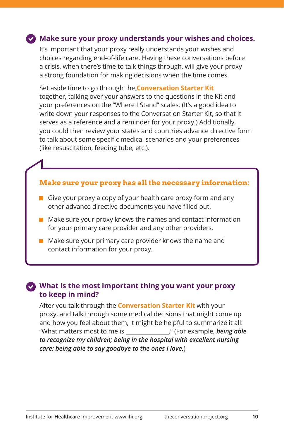#### **Make sure your proxy understands your wishes and choices.**

It's important that your proxy really understands your wishes and choices regarding end-of-life care. Having these conversations before a crisis, when there's time to talk things through, will give your proxy a strong foundation for making decisions when the time comes.

Set aside time to go through the **Conversation Starter Kit** together, talking over your answers to the questions in the Kit and your preferences on the "Where I Stand" scales. (It's a good idea to write down your responses to the Conversation Starter Kit, so that it serves as a reference and a reminder for your proxy.) Additionally, you could then review your states and countries advance directive form to talk about some specific medical scenarios and your preferences (like resuscitation, feeding tube, etc.).

#### **Make sure your proxy has all the necessary information:**

- Give your proxy a copy of your health care proxy form and any other advance directive documents you have filled out.
- $\blacksquare$  Make sure your proxy knows the names and contact information for your primary care provider and any other providers.
- $\blacksquare$  Make sure your primary care provider knows the name and contact information for your proxy.

#### **What is the most important thing you want your proxy to keep in mind?** ✔

After you talk through the **Conversation Starter Kit** with your proxy, and talk through some medical decisions that might come up and how you feel about them, it might be helpful to summarize it all: "What matters most to me is \_\_\_\_\_\_\_\_\_\_\_\_\_\_\_." (For example, *being able to recognize my children; being in the hospital with excellent nursing care; being able to say goodbye to the ones I love.*)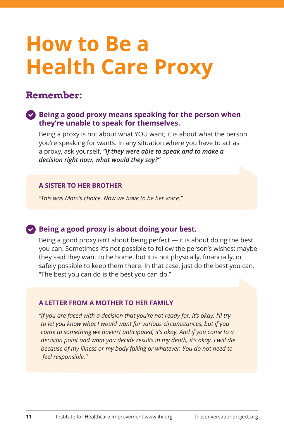# **How to Be a Health Care Proxy**

# **Remember:**

#### **Being a good proxy means speaking for the person when they're unable to speak for themselves.**

Being a proxy is not about what YOU want; it is about what the person you're speaking for wants. In any situation where you have to act as a proxy, ask yourself, *"If they were able to speak and to make a decision right now, what would they say?"*

#### **A SISTER TO HER BROTHER**

*"This was Mom's choice. Now we have to be her voice."*

#### **Being a good proxy is about doing your best.**

Being a good proxy isn't about being perfect — it is about doing the best you can. Sometimes it's not possible to follow the person's wishes: maybe they said they want to be home, but it is not physically, financially, or safely possible to keep them there. In that case, just do the best you can. "The best you can do is the best you can do."

#### **A LETTER FROM A MOTHER TO HER FAMILY**

*"If you are faced with a decision that you're not ready for, it's okay. I'll try to let you know what I would want for various circumstances, but if you come to something we haven't anticipated, it's okay. And if you come to a decision point and what you decide results in my death, it's okay. I will die because of my illness or my body failing or whatever. You do not need to feel responsible."*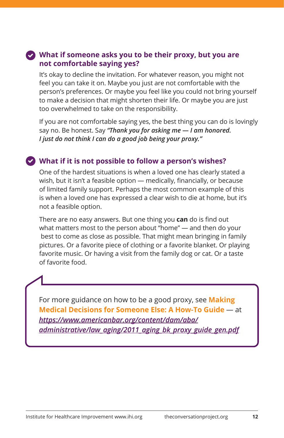#### **What if someone asks you to be their proxy, but you are not comfortable saying yes?**

It's okay to decline the invitation. For whatever reason, you might not feel you can take it on. Maybe you just are not comfortable with the person's preferences. Or maybe you feel like you could not bring yourself to make a decision that might shorten their life. Or maybe you are just too overwhelmed to take on the responsibility.

If you are not comfortable saying yes, the best thing you can do is lovingly say no. Be honest. Say *"Thank you for asking me — I am honored. I just do not think I can do a good job being your proxy."* 

#### **What if it is not possible to follow a person's wishes?**

One of the hardest situations is when a loved one has clearly stated a wish, but it isn't a feasible option — medically, financially, or because of limited family support. Perhaps the most common example of this is when a loved one has expressed a clear wish to die at home, but it's not a feasible option.

There are no easy answers. But one thing you **can** do is find out what matters most to the person about "home" — and then do your best to come as close as possible. That might mean bringing in family pictures. Or a favorite piece of clothing or a favorite blanket. Or playing favorite music. Or having a visit from the family dog or cat. Or a taste of favorite food.

For more guidance on how to be a good proxy, see **Making Medical Decisions for Someone Else: A How-To Guide** — at *https://www.americanbar.org/content/dam/aba/ administrative/law\_aging/2011\_aging\_bk\_proxy\_guide\_gen.pdf*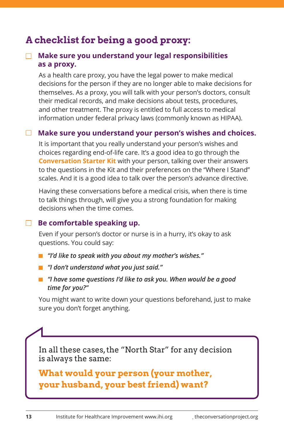# **A checklist for being a good proxy:**

#### **Make sure you understand your legal responsibilities as a proxy.**

 As a health care proxy, you have the legal power to make medical decisions for the person if they are no longer able to make decisions for themselves. As a proxy, you will talk with your person's doctors, consult their medical records, and make decisions about tests, procedures, and other treatment. The proxy is entitled to full access to medical information under federal privacy laws (commonly known as HIPAA).

#### **Make sure you understand your person's wishes and choices.**

 It is important that you really understand your person's wishes and choices regarding end-of-life care. It's a good idea to go through the **Conversation Starter Kit** with your person, talking over their answers to the questions in the Kit and their preferences on the "Where I Stand" scales. And it is a good idea to talk over the person's advance directive.

 Having these conversations before a medical crisis, when there is time to talk things through, will give you a strong foundation for making decisions when the time comes.

#### **Be comfortable speaking up.**

 Even if your person's doctor or nurse is in a hurry, it's okay to ask questions. You could say:

- *"I'd like to speak with you about my mother's wishes."*
- *"I don't understand what you just said."*
- *"I have some questions I'd like to ask you. When would be a good time for you?"*

You might want to write down your questions beforehand, just to make sure you don't forget anything.

In all these cases, the "North Star" for any decision is always the same:

**What would your person (your mother, your husband, your best friend) want?**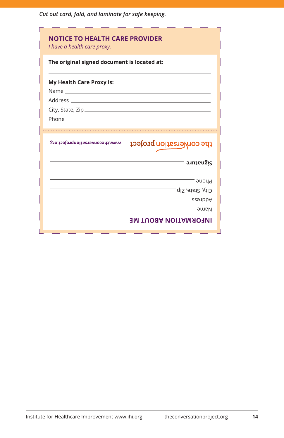*Cut out card, fold, and laminate for safe keeping.*

| The original signed document is located at: |                          |
|---------------------------------------------|--------------------------|
| My Health Care Proxy is:                    |                          |
|                                             |                          |
|                                             |                          |
|                                             |                          |
| Phone <b>Phone</b>                          |                          |
|                                             |                          |
|                                             |                          |
| www.theconversationproject.org              | the conversation project |
|                                             | Signature                |
|                                             | Phone                    |
|                                             | $-$ qis, State, Zip      |
|                                             | <b>Address</b>           |
|                                             | <b>Hame</b>              |